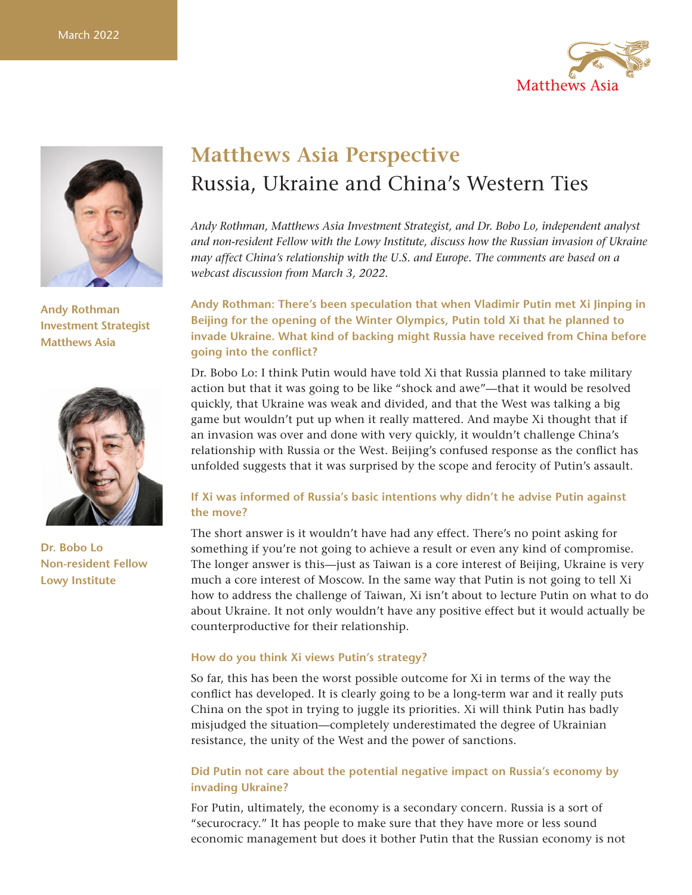



**Andy Rothman Investment Strategist Matthews Asia**



**Dr. Bobo Lo Non-resident Fellow Lowy Institute**

# **Matthews Asia Perspective** Russia, Ukraine and China's Western Ties

*Andy Rothman, Matthews Asia Investment Strategist, and Dr. Bobo Lo, independent analyst and non-resident Fellow with the Lowy Institute, discuss how the Russian invasion of Ukraine may affect China's relationship with the U.S. and Europe. The comments are based on a webcast discussion from March 3, 2022.*

**Andy Rothman: There's been speculation that when Vladimir Putin met Xi Jinping in Beijing for the opening of the Winter Olympics, Putin told Xi that he planned to invade Ukraine. What kind of backing might Russia have received from China before going into the conflict?**

Dr. Bobo Lo: I think Putin would have told Xi that Russia planned to take military action but that it was going to be like "shock and awe"—that it would be resolved quickly, that Ukraine was weak and divided, and that the West was talking a big game but wouldn't put up when it really mattered. And maybe Xi thought that if an invasion was over and done with very quickly, it wouldn't challenge China's relationship with Russia or the West. Beijing's confused response as the conflict has unfolded suggests that it was surprised by the scope and ferocity of Putin's assault.

### **If Xi was informed of Russia's basic intentions why didn't he advise Putin against the move?**

The short answer is it wouldn't have had any effect. There's no point asking for something if you're not going to achieve a result or even any kind of compromise. The longer answer is this—just as Taiwan is a core interest of Beijing, Ukraine is very much a core interest of Moscow. In the same way that Putin is not going to tell Xi how to address the challenge of Taiwan, Xi isn't about to lecture Putin on what to do about Ukraine. It not only wouldn't have any positive effect but it would actually be counterproductive for their relationship.

#### **How do you think Xi views Putin's strategy?**

So far, this has been the worst possible outcome for Xi in terms of the way the conflict has developed. It is clearly going to be a long-term war and it really puts China on the spot in trying to juggle its priorities. Xi will think Putin has badly misjudged the situation—completely underestimated the degree of Ukrainian resistance, the unity of the West and the power of sanctions.

#### **Did Putin not care about the potential negative impact on Russia's economy by invading Ukraine?**

For Putin, ultimately, the economy is a secondary concern. Russia is a sort of "securocracy." It has people to make sure that they have more or less sound economic management but does it bother Putin that the Russian economy is not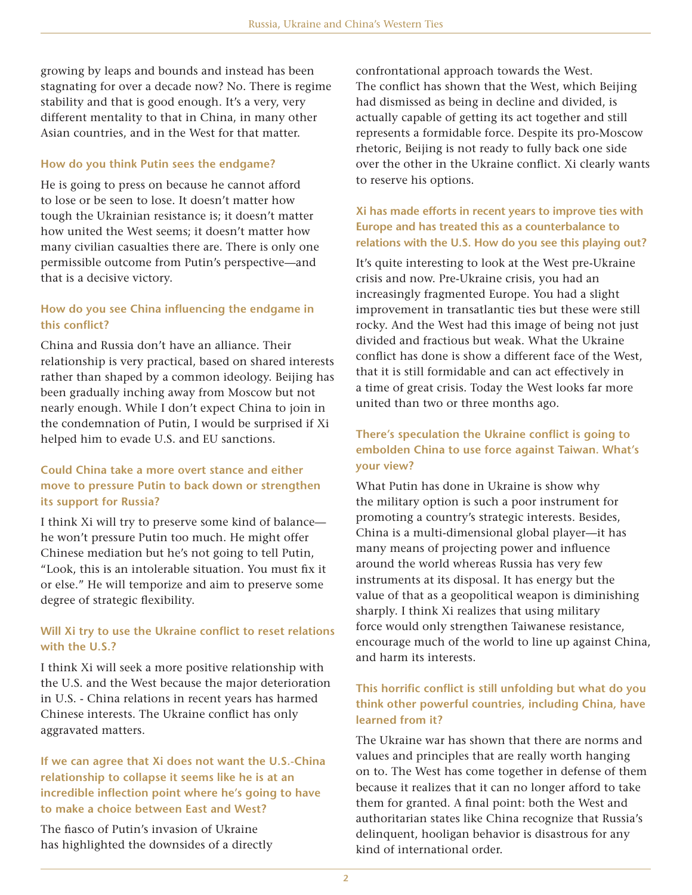growing by leaps and bounds and instead has been stagnating for over a decade now? No. There is regime stability and that is good enough. It's a very, very different mentality to that in China, in many other Asian countries, and in the West for that matter.

#### **How do you think Putin sees the endgame?**

He is going to press on because he cannot afford to lose or be seen to lose. It doesn't matter how tough the Ukrainian resistance is; it doesn't matter how united the West seems; it doesn't matter how many civilian casualties there are. There is only one permissible outcome from Putin's perspective—and that is a decisive victory.

### **How do you see China influencing the endgame in this conflict?**

China and Russia don't have an alliance. Their relationship is very practical, based on shared interests rather than shaped by a common ideology. Beijing has been gradually inching away from Moscow but not nearly enough. While I don't expect China to join in the condemnation of Putin, I would be surprised if Xi helped him to evade U.S. and EU sanctions.

# **Could China take a more overt stance and either move to pressure Putin to back down or strengthen its support for Russia?**

I think Xi will try to preserve some kind of balance he won't pressure Putin too much. He might offer Chinese mediation but he's not going to tell Putin, "Look, this is an intolerable situation. You must fix it or else." He will temporize and aim to preserve some degree of strategic flexibility.

### **Will Xi try to use the Ukraine conflict to reset relations with the U.S.?**

I think Xi will seek a more positive relationship with the U.S. and the West because the major deterioration in U.S. - China relations in recent years has harmed Chinese interests. The Ukraine conflict has only aggravated matters.

# **If we can agree that Xi does not want the U.S.-China relationship to collapse it seems like he is at an incredible inflection point where he's going to have to make a choice between East and West?**

The fiasco of Putin's invasion of Ukraine has highlighted the downsides of a directly confrontational approach towards the West. The conflict has shown that the West, which Beijing had dismissed as being in decline and divided, is actually capable of getting its act together and still represents a formidable force. Despite its pro-Moscow rhetoric, Beijing is not ready to fully back one side over the other in the Ukraine conflict. Xi clearly wants to reserve his options.

## **Xi has made efforts in recent years to improve ties with Europe and has treated this as a counterbalance to relations with the U.S. How do you see this playing out?**

It's quite interesting to look at the West pre-Ukraine crisis and now. Pre-Ukraine crisis, you had an increasingly fragmented Europe. You had a slight improvement in transatlantic ties but these were still rocky. And the West had this image of being not just divided and fractious but weak. What the Ukraine conflict has done is show a different face of the West, that it is still formidable and can act effectively in a time of great crisis. Today the West looks far more united than two or three months ago.

# **There's speculation the Ukraine conflict is going to embolden China to use force against Taiwan. What's your view?**

What Putin has done in Ukraine is show why the military option is such a poor instrument for promoting a country's strategic interests. Besides, China is a multi-dimensional global player—it has many means of projecting power and influence around the world whereas Russia has very few instruments at its disposal. It has energy but the value of that as a geopolitical weapon is diminishing sharply. I think Xi realizes that using military force would only strengthen Taiwanese resistance, encourage much of the world to line up against China, and harm its interests.

# **This horrific conflict is still unfolding but what do you think other powerful countries, including China, have learned from it?**

The Ukraine war has shown that there are norms and values and principles that are really worth hanging on to. The West has come together in defense of them because it realizes that it can no longer afford to take them for granted. A final point: both the West and authoritarian states like China recognize that Russia's delinquent, hooligan behavior is disastrous for any kind of international order.